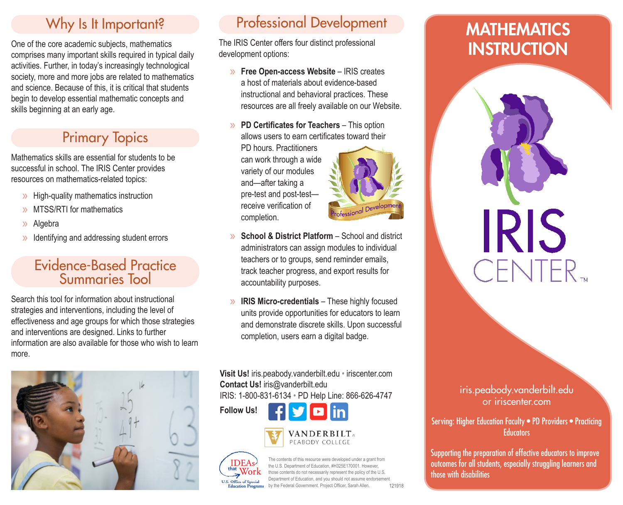### Why Is It Important?

One of the core academic subjects, mathematics comprises many important skills required in typical daily activities. Further, in today's increasingly technological society, more and more jobs are related to mathematics and science. Because of this, it is critical that students begin to develop essential mathematic concepts and skills beginning at an early age.

### Primary Topics

Mathematics skills are essential for students to be successful in school. The IRIS Center provides resources on mathematics-related topics:

- » High-quality mathematics instruction
- » MTSS/RTI for mathematics
- » Algebra
- » Identifying and addressing student errors

#### Evidence-Based Practice Summaries Tool

Search this tool for information about instructional strategies and interventions, including the level of effectiveness and age groups for which those strategies and interventions are designed. Links to further information are also available for those who wish to learn more.



## Professional Development

The IRIS Center offers four distinct professional development options:

- » **Free Open-access Website** IRIS creates a host of materials about evidence-based instructional and behavioral practices. These resources are all freely available on our Website.
- » **PD Certificates for Teachers** This option allows users to earn certificates toward their PD hours. Practitioners can work through a wide variety of our modules and—after taking a pre-test and post-test receive verification of completion.
- **School & District Platform** School and district administrators can assign modules to individual teachers or to groups, send reminder emails, track teacher progress, and export results for accountability purposes.
- » **IRIS Micro-credentials** These highly focused units provide opportunities for educators to learn and demonstrate discrete skills. Upon successful completion, users earn a digital badge.

**Visit Us!** iris.peabody.vanderbilt.edu • iriscenter.com **Contact Us!** iris@vanderbilt.edu IRIS: 1-800-831-6134 • PD Help Line: 866-626-4747

**Follow Us!**







the contents of this resource were developed under a grant from tent of Education, #H325E170001. However, those contents do not necessarily represent the policy of the U.S. Department of Education, and you should not assume endorsement by the Federal Government. Project Officer, Sarah Allen*.*

121918

# **MATHEMATICS INSTRUCTION**

iris.peabody.vanderbilt.edu or iriscenter.com

**IRIS** 

CENTER<sub>TM</sub>

Serving: Higher Education Faculty • PD Providers • Practicing **Educators** 

Supporting the preparation of effective educators to improve outcomes for all students, especially struggling learners and those with disabilities